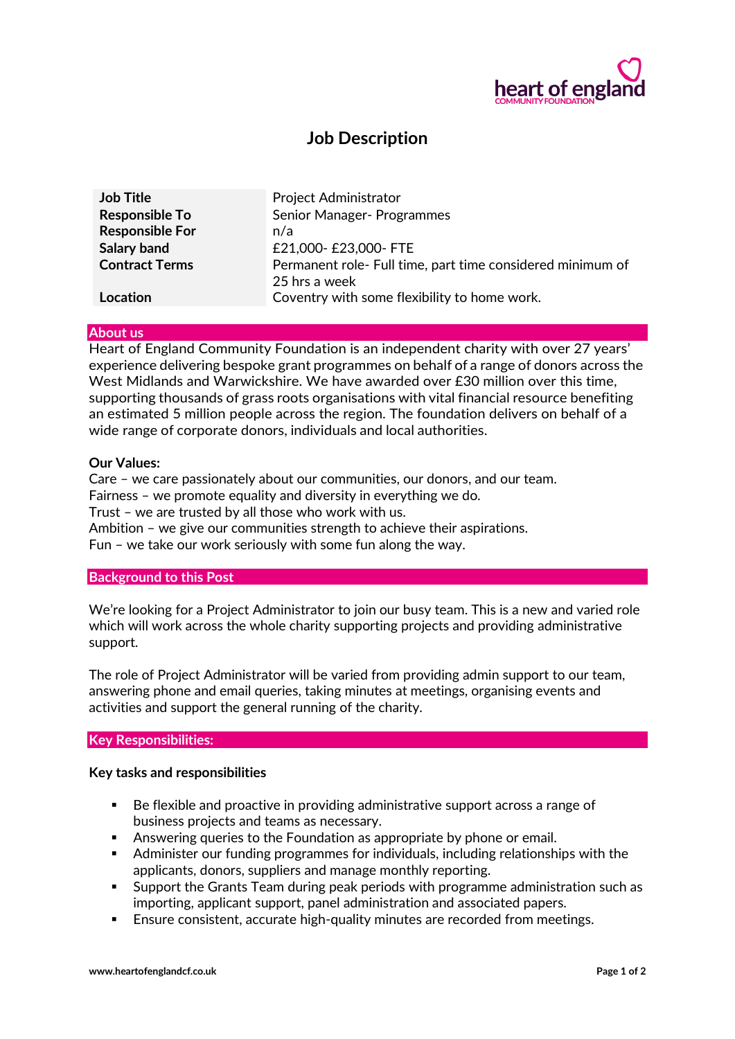

# **Job Description**

| <b>Job Title</b>       | Project Administrator                                                       |
|------------------------|-----------------------------------------------------------------------------|
| <b>Responsible To</b>  | Senior Manager- Programmes                                                  |
| <b>Responsible For</b> | n/a                                                                         |
| Salary band            | £21,000- £23,000- FTE                                                       |
| <b>Contract Terms</b>  | Permanent role- Full time, part time considered minimum of<br>25 hrs a week |
| Location               | Coventry with some flexibility to home work.                                |

#### **About us**

Heart of England Community Foundation is an independent charity with over 27 years' experience delivering bespoke grant programmes on behalf of a range of donors across the West Midlands and Warwickshire. We have awarded over £30 million over this time, supporting thousands of grass roots organisations with vital financial resource benefiting an estimated 5 million people across the region. The foundation delivers on behalf of a wide range of corporate donors, individuals and local authorities.

### **Our Values:**

Care – we care passionately about our communities, our donors, and our team. Fairness – we promote equality and diversity in everything we do. Trust – we are trusted by all those who work with us. Ambition – we give our communities strength to achieve their aspirations. Fun – we take our work seriously with some fun along the way.

# **Background to this Post**

We're looking for a Project Administrator to join our busy team. This is a new and varied role which will work across the whole charity supporting projects and providing administrative support.

The role of Project Administrator will be varied from providing admin support to our team, answering phone and email queries, taking minutes at meetings, organising events and activities and support the general running of the charity.

#### **Key Responsibilities:**

#### **Key tasks and responsibilities**

- Be flexible and proactive in providing administrative support across a range of business projects and teams as necessary.
- Answering queries to the Foundation as appropriate by phone or email.
- Administer our funding programmes for individuals, including relationships with the applicants, donors, suppliers and manage monthly reporting.
- Support the Grants Team during peak periods with programme administration such as importing, applicant support, panel administration and associated papers.
- **Ensure consistent, accurate high-quality minutes are recorded from meetings.**